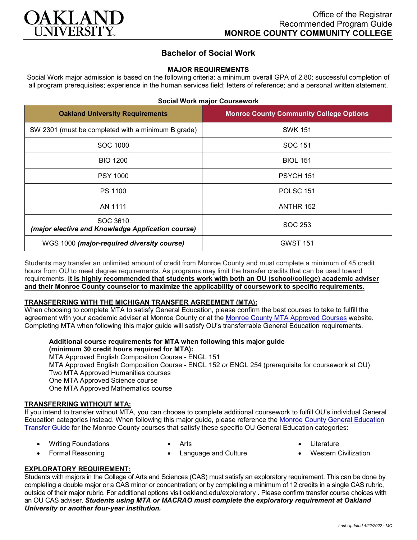

## **Bachelor of Social Work**

### **MAJOR REQUIREMENTS**

Social Work major admission is based on the following criteria: a minimum overall GPA of 2.80; successful completion of all program prerequisites; experience in the human services field; letters of reference; and a personal written statement.

| <b>Oakland University Requirements</b>                        | <b>Monroe County Community College Options</b> |
|---------------------------------------------------------------|------------------------------------------------|
| SW 2301 (must be completed with a minimum B grade)            | <b>SWK 151</b>                                 |
| SOC 1000                                                      | SOC 151                                        |
| <b>BIO 1200</b>                                               | <b>BIOL 151</b>                                |
| <b>PSY 1000</b>                                               | PSYCH 151                                      |
| PS 1100                                                       | <b>POLSC 151</b>                               |
| AN 1111                                                       | ANTHR 152                                      |
| SOC 3610<br>(major elective and Knowledge Application course) | SOC 253                                        |
| WGS 1000 (major-required diversity course)                    | <b>GWST 151</b>                                |

Students may transfer an unlimited amount of credit from Monroe County and must complete a minimum of 45 credit hours from OU to meet degree requirements. As programs may limit the transfer credits that can be used toward requirements, **it is highly recommended that students work with both an OU (school/college) academic adviser and their Monroe County counselor to maximize the applicability of coursework to specific requirements.**

### **TRANSFERRING WITH THE MICHIGAN TRANSFER AGREEMENT (MTA):**

When choosing to complete MTA to satisfy General Education, please confirm the best courses to take to fulfill the agreement with your academic adviser at Monroe County or at the [Monroe County MTA Approved Courses](https://www.monroeccc.edu/transfer/michigan-transfer-agreement) website. Completing MTA when following this major guide will satisfy OU's transferrable General Education requirements.

# **Additional course requirements for MTA when following this major guide (minimum 30 credit hours required for MTA):**

MTA Approved English Composition Course - ENGL 151 MTA Approved English Composition Course - ENGL 152 *or* ENGL 254 (prerequisite for coursework at OU) Two MTA Approved Humanities courses One MTA Approved Science course One MTA Approved Mathematics course

### **TRANSFERRING WITHOUT MTA:**

If you intend to transfer without MTA, you can choose to complete additional coursework to fulfill OU's individual General Education categories instead. When following this major guide, please reference the [Monroe County General Education](https://www.oakland.edu/Assets/Oakland/program-guides/monroe-county-community-college/university-general-education-requirements/Monroe%20County%20Gen%20Ed.pdf)  [Transfer Guide](https://www.oakland.edu/Assets/Oakland/program-guides/monroe-county-community-college/university-general-education-requirements/Monroe%20County%20Gen%20Ed.pdf) for the Monroe County courses that satisfy these specific OU General Education categories:

• Language and Culture

- Writing Foundations • Formal Reasoning
- Arts
- **Literature**
- Western Civilization

## **EXPLORATORY REQUIREMENT:**

Students with majors in the College of Arts and Sciences (CAS) must satisfy an exploratory requirement. This can be done by completing a double major or a CAS minor or concentration; or by completing a minimum of 12 credits in a single CAS rubric, outside of their major rubric. For additional options visit [oakland.edu/exploratory](http://www.oakland.edu/exploratory) . Please confirm transfer course choices with an OU CAS adviser. *Students using MTA or MACRAO must complete the exploratory requirement at Oakland University or another four-year institution.*